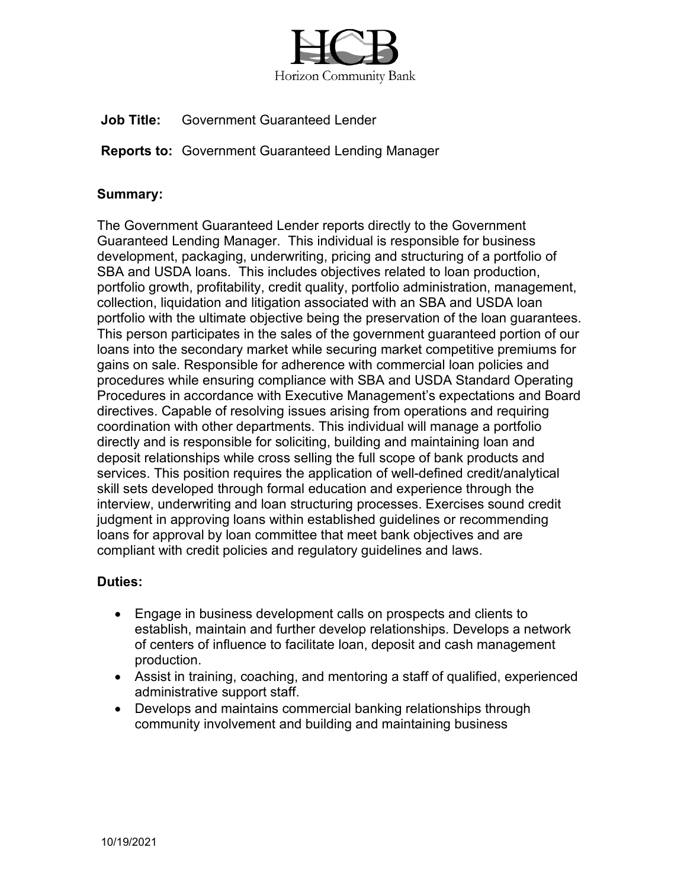

**Job Title:** Government Guaranteed Lender

**Reports to:** Government Guaranteed Lending Manager

## **Summary:**

The Government Guaranteed Lender reports directly to the Government Guaranteed Lending Manager. This individual is responsible for business development, packaging, underwriting, pricing and structuring of a portfolio of SBA and USDA loans. This includes objectives related to loan production, portfolio growth, profitability, credit quality, portfolio administration, management, collection, liquidation and litigation associated with an SBA and USDA loan portfolio with the ultimate objective being the preservation of the loan guarantees. This person participates in the sales of the government guaranteed portion of our loans into the secondary market while securing market competitive premiums for gains on sale. Responsible for adherence with commercial loan policies and procedures while ensuring compliance with SBA and USDA Standard Operating Procedures in accordance with Executive Management's expectations and Board directives. Capable of resolving issues arising from operations and requiring coordination with other departments. This individual will manage a portfolio directly and is responsible for soliciting, building and maintaining loan and deposit relationships while cross selling the full scope of bank products and services. This position requires the application of well-defined credit/analytical skill sets developed through formal education and experience through the interview, underwriting and loan structuring processes. Exercises sound credit judgment in approving loans within established guidelines or recommending loans for approval by loan committee that meet bank objectives and are compliant with credit policies and regulatory guidelines and laws.

## **Duties:**

- Engage in business development calls on prospects and clients to establish, maintain and further develop relationships. Develops a network of centers of influence to facilitate loan, deposit and cash management production.
- Assist in training, coaching, and mentoring a staff of qualified, experienced administrative support staff.
- Develops and maintains commercial banking relationships through community involvement and building and maintaining business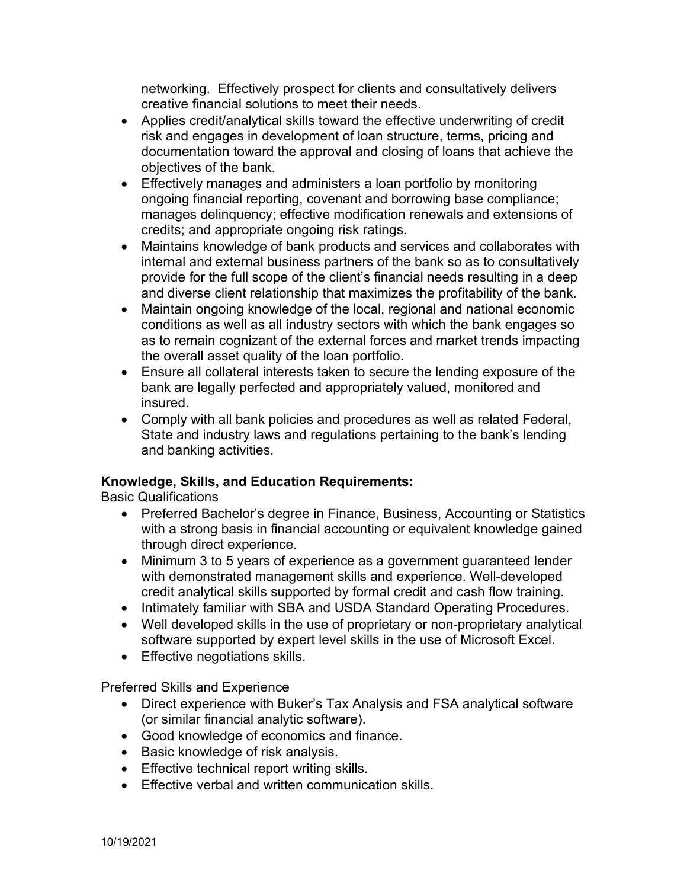networking. Effectively prospect for clients and consultatively delivers creative financial solutions to meet their needs.

- Applies credit/analytical skills toward the effective underwriting of credit risk and engages in development of loan structure, terms, pricing and documentation toward the approval and closing of loans that achieve the objectives of the bank.
- Effectively manages and administers a loan portfolio by monitoring ongoing financial reporting, covenant and borrowing base compliance; manages delinquency; effective modification renewals and extensions of credits; and appropriate ongoing risk ratings.
- Maintains knowledge of bank products and services and collaborates with internal and external business partners of the bank so as to consultatively provide for the full scope of the client's financial needs resulting in a deep and diverse client relationship that maximizes the profitability of the bank.
- Maintain ongoing knowledge of the local, regional and national economic conditions as well as all industry sectors with which the bank engages so as to remain cognizant of the external forces and market trends impacting the overall asset quality of the loan portfolio.
- Ensure all collateral interests taken to secure the lending exposure of the bank are legally perfected and appropriately valued, monitored and insured.
- Comply with all bank policies and procedures as well as related Federal, State and industry laws and regulations pertaining to the bank's lending and banking activities.

## **Knowledge, Skills, and Education Requirements:**

Basic Qualifications

- Preferred Bachelor's degree in Finance, Business, Accounting or Statistics with a strong basis in financial accounting or equivalent knowledge gained through direct experience.
- Minimum 3 to 5 years of experience as a government guaranteed lender with demonstrated management skills and experience. Well-developed credit analytical skills supported by formal credit and cash flow training.
- Intimately familiar with SBA and USDA Standard Operating Procedures.
- Well developed skills in the use of proprietary or non-proprietary analytical software supported by expert level skills in the use of Microsoft Excel.
- Effective negotiations skills.

Preferred Skills and Experience

- Direct experience with Buker's Tax Analysis and FSA analytical software (or similar financial analytic software).
- Good knowledge of economics and finance.
- Basic knowledge of risk analysis.
- Effective technical report writing skills.
- Effective verbal and written communication skills.